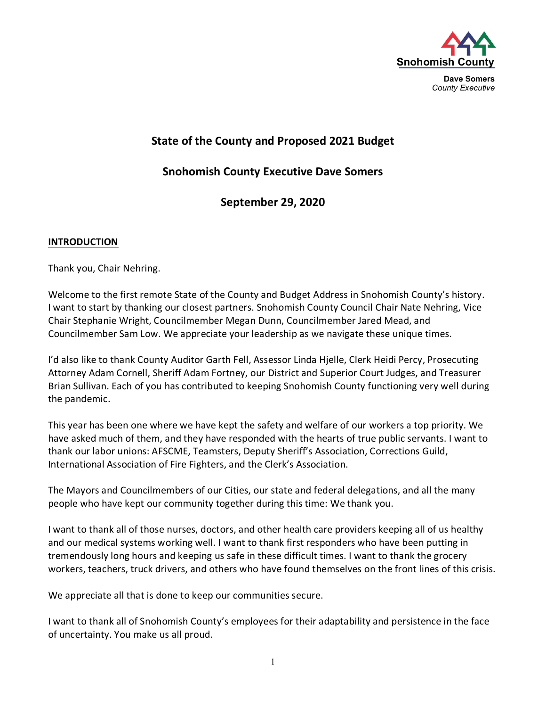

**Dave Somers** *County Executive*

# **State of the County and Proposed 2021 Budget**

**Snohomish County Executive Dave Somers**

**September 29, 2020**

#### **INTRODUCTION**

Thank you, Chair Nehring.

Welcome to the first remote State of the County and Budget Address in Snohomish County's history. I want to start by thanking our closest partners. Snohomish County Council Chair Nate Nehring, Vice Chair Stephanie Wright, Councilmember Megan Dunn, Councilmember Jared Mead, and Councilmember Sam Low. We appreciate your leadership as we navigate these unique times.

I'd also like to thank County Auditor Garth Fell, Assessor Linda Hjelle, Clerk Heidi Percy, Prosecuting Attorney Adam Cornell, Sheriff Adam Fortney, our District and Superior Court Judges, and Treasurer Brian Sullivan. Each of you has contributed to keeping Snohomish County functioning very well during the pandemic.

This year has been one where we have kept the safety and welfare of our workers a top priority. We have asked much of them, and they have responded with the hearts of true public servants. I want to thank our labor unions: AFSCME, Teamsters, Deputy Sheriff's Association, Corrections Guild, International Association of Fire Fighters, and the Clerk's Association.

The Mayors and Councilmembers of our Cities, our state and federal delegations, and all the many people who have kept our community together during this time: We thank you.

I want to thank all of those nurses, doctors, and other health care providers keeping all of us healthy and our medical systems working well. I want to thank first responders who have been putting in tremendously long hours and keeping us safe in these difficult times. I want to thank the grocery workers, teachers, truck drivers, and others who have found themselves on the front lines of this crisis.

We appreciate all that is done to keep our communities secure.

I want to thank all of Snohomish County's employees for their adaptability and persistence in the face of uncertainty. You make us all proud.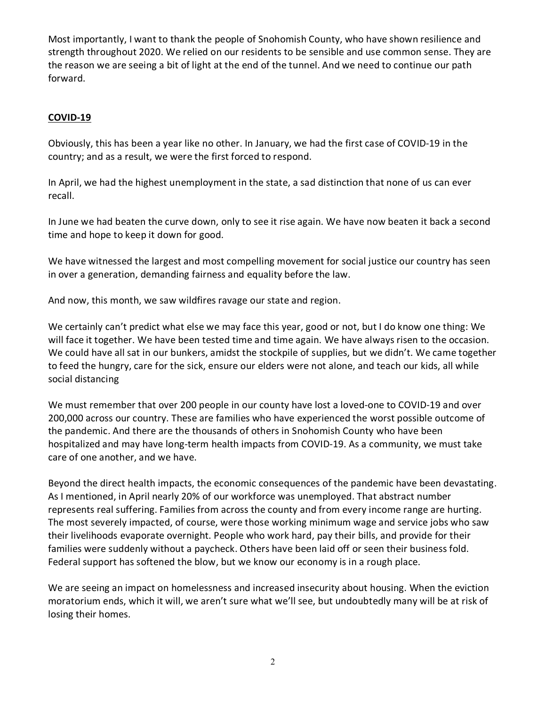Most importantly, I want to thank the people of Snohomish County, who have shown resilience and strength throughout 2020. We relied on our residents to be sensible and use common sense. They are the reason we are seeing a bit of light at the end of the tunnel. And we need to continue our path forward.

# **COVID-19**

Obviously, this has been a year like no other. In January, we had the first case of COVID-19 in the country; and as a result, we were the first forced to respond.

In April, we had the highest unemployment in the state, a sad distinction that none of us can ever recall.

In June we had beaten the curve down, only to see it rise again. We have now beaten it back a second time and hope to keep it down for good.

We have witnessed the largest and most compelling movement for social justice our country has seen in over a generation, demanding fairness and equality before the law.

And now, this month, we saw wildfires ravage our state and region.

We certainly can't predict what else we may face this year, good or not, but I do know one thing: We will face it together. We have been tested time and time again. We have always risen to the occasion. We could have all sat in our bunkers, amidst the stockpile of supplies, but we didn't. We came together to feed the hungry, care for the sick, ensure our elders were not alone, and teach our kids, all while social distancing

We must remember that over 200 people in our county have lost a loved-one to COVID-19 and over 200,000 across our country. These are families who have experienced the worst possible outcome of the pandemic. And there are the thousands of others in Snohomish County who have been hospitalized and may have long-term health impacts from COVID-19. As a community, we must take care of one another, and we have.

Beyond the direct health impacts, the economic consequences of the pandemic have been devastating. As I mentioned, in April nearly 20% of our workforce was unemployed. That abstract number represents real suffering. Families from across the county and from every income range are hurting. The most severely impacted, of course, were those working minimum wage and service jobs who saw their livelihoods evaporate overnight. People who work hard, pay their bills, and provide for their families were suddenly without a paycheck. Others have been laid off or seen their business fold. Federal support has softened the blow, but we know our economy is in a rough place.

We are seeing an impact on homelessness and increased insecurity about housing. When the eviction moratorium ends, which it will, we aren't sure what we'll see, but undoubtedly many will be at risk of losing their homes.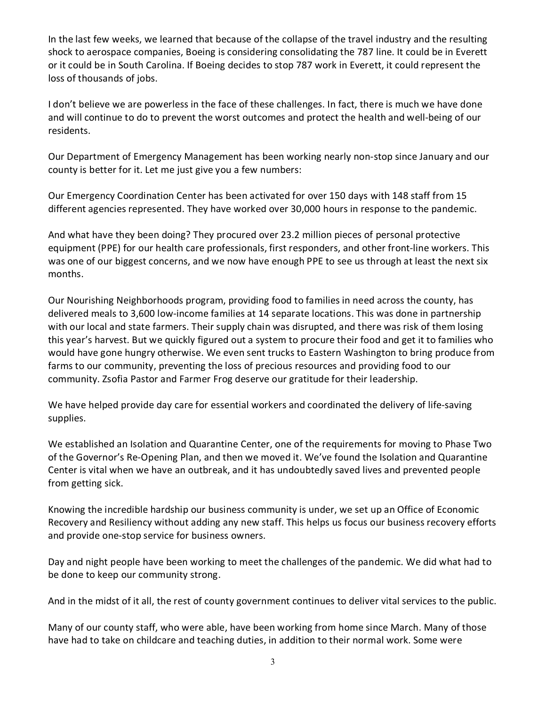In the last few weeks, we learned that because of the collapse of the travel industry and the resulting shock to aerospace companies, Boeing is considering consolidating the 787 line. It could be in Everett or it could be in South Carolina. If Boeing decides to stop 787 work in Everett, it could represent the loss of thousands of jobs.

I don't believe we are powerless in the face of these challenges. In fact, there is much we have done and will continue to do to prevent the worst outcomes and protect the health and well-being of our residents.

Our Department of Emergency Management has been working nearly non-stop since January and our county is better for it. Let me just give you a few numbers:

Our Emergency Coordination Center has been activated for over 150 days with 148 staff from 15 different agencies represented. They have worked over 30,000 hours in response to the pandemic.

And what have they been doing? They procured over 23.2 million pieces of personal protective equipment (PPE) for our health care professionals, first responders, and other front-line workers. This was one of our biggest concerns, and we now have enough PPE to see us through at least the next six months.

Our Nourishing Neighborhoods program, providing food to families in need across the county, has delivered meals to 3,600 low-income families at 14 separate locations. This was done in partnership with our local and state farmers. Their supply chain was disrupted, and there was risk of them losing this year's harvest. But we quickly figured out a system to procure their food and get it to families who would have gone hungry otherwise. We even sent trucks to Eastern Washington to bring produce from farms to our community, preventing the loss of precious resources and providing food to our community. Zsofia Pastor and Farmer Frog deserve our gratitude for their leadership.

We have helped provide day care for essential workers and coordinated the delivery of life-saving supplies.

We established an Isolation and Quarantine Center, one of the requirements for moving to Phase Two of the Governor's Re-Opening Plan, and then we moved it. We've found the Isolation and Quarantine Center is vital when we have an outbreak, and it has undoubtedly saved lives and prevented people from getting sick.

Knowing the incredible hardship our business community is under, we set up an Office of Economic Recovery and Resiliency without adding any new staff. This helps us focus our business recovery efforts and provide one-stop service for business owners.

Day and night people have been working to meet the challenges of the pandemic. We did what had to be done to keep our community strong.

And in the midst of it all, the rest of county government continues to deliver vital services to the public.

Many of our county staff, who were able, have been working from home since March. Many of those have had to take on childcare and teaching duties, in addition to their normal work. Some were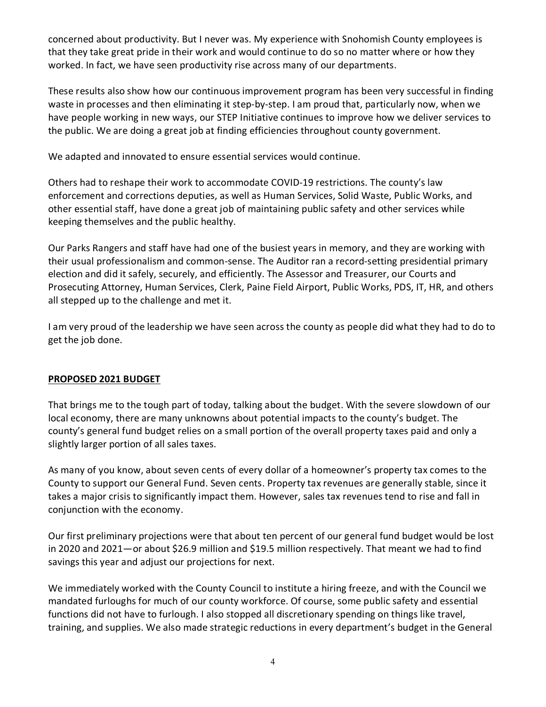concerned about productivity. But I never was. My experience with Snohomish County employees is that they take great pride in their work and would continue to do so no matter where or how they worked. In fact, we have seen productivity rise across many of our departments.

These results also show how our continuous improvement program has been very successful in finding waste in processes and then eliminating it step-by-step. I am proud that, particularly now, when we have people working in new ways, our STEP Initiative continues to improve how we deliver services to the public. We are doing a great job at finding efficiencies throughout county government.

We adapted and innovated to ensure essential services would continue.

Others had to reshape their work to accommodate COVID-19 restrictions. The county's law enforcement and corrections deputies, as well as Human Services, Solid Waste, Public Works, and other essential staff, have done a great job of maintaining public safety and other services while keeping themselves and the public healthy.

Our Parks Rangers and staff have had one of the busiest years in memory, and they are working with their usual professionalism and common-sense. The Auditor ran a record-setting presidential primary election and did it safely, securely, and efficiently. The Assessor and Treasurer, our Courts and Prosecuting Attorney, Human Services, Clerk, Paine Field Airport, Public Works, PDS, IT, HR, and others all stepped up to the challenge and met it.

I am very proud of the leadership we have seen across the county as people did what they had to do to get the job done.

# **PROPOSED 2021 BUDGET**

That brings me to the tough part of today, talking about the budget. With the severe slowdown of our local economy, there are many unknowns about potential impacts to the county's budget. The county's general fund budget relies on a small portion of the overall property taxes paid and only a slightly larger portion of all sales taxes.

As many of you know, about seven cents of every dollar of a homeowner's property tax comes to the County to support our General Fund. Seven cents. Property tax revenues are generally stable, since it takes a major crisis to significantly impact them. However, sales tax revenues tend to rise and fall in conjunction with the economy.

Our first preliminary projections were that about ten percent of our general fund budget would be lost in 2020 and 2021—or about \$26.9 million and \$19.5 million respectively. That meant we had to find savings this year and adjust our projections for next.

We immediately worked with the County Council to institute a hiring freeze, and with the Council we mandated furloughs for much of our county workforce. Of course, some public safety and essential functions did not have to furlough. I also stopped all discretionary spending on things like travel, training, and supplies. We also made strategic reductions in every department's budget in the General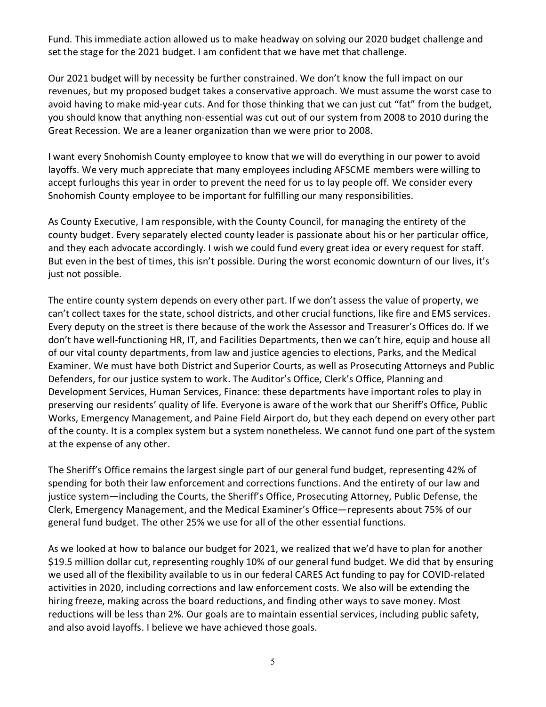Fund. This immediate action allowed us to make headway on solving our 2020 budget challenge and set the stage for the 2021 budget. I am confident that we have met that challenge.

Our 2021 budget will by necessity be further constrained. We don't know the full impact on our revenues, but my proposed budget takes a conservative approach. We must assume the worst case to avoid having to make mid-year cuts. And for those thinking that we can just cut "fat" from the budget, you should know that anything non-essential was cut out of our system from 2008 to 2010 during the Great Recession. We are a leaner organization than we were prior to 2008.

I want every Snohomish County employee to know that we will do everything in our power to avoid layoffs. We very much appreciate that many employees including AFSCME members were willing to accept furloughs this year in order to prevent the need for us to lay people off. We consider every Snohomish County employee to be important for fulfilling our many responsibilities.

As County Executive, I am responsible, with the County Council, for managing the entirety of the county budget. Every separately elected county leader is passionate about his or her particular office, and they each advocate accordingly. I wish we could fund every great idea or every request for staff. But even in the best of times, this isn't possible. During the worst economic downturn of our lives, it's just not possible.

The entire county system depends on every other part. If we don't assess the value of property, we can't collect taxes for the state, school districts, and other crucial functions, like fire and EMS services. Every deputy on the street is there because of the work the Assessor and Treasurer's Offices do. If we don't have well-functioning HR, IT, and Facilities Departments, then we can't hire, equip and house all of our vital county departments, from law and justice agencies to elections, Parks, and the Medical Examiner. We must have both District and Superior Courts, as well as Prosecuting Attorneys and Public Defenders, for our justice system to work. The Auditor's Office, Clerk's Office, Planning and Development Services, Human Services, Finance: these departments have important roles to play in preserving our residents' quality of life. Everyone is aware of the work that our Sheriff's Office, Public Works, Emergency Management, and Paine Field Airport do, but they each depend on every other part of the county. It is a complex system but a system nonetheless. We cannot fund one part of the system at the expense of any other.

The Sheriff's Office remains the largest single part of our general fund budget, representing 42% of spending for both their law enforcement and corrections functions. And the entirety of our law and justice system—including the Courts, the Sheriff's Office, Prosecuting Attorney, Public Defense, the Clerk, Emergency Management, and the Medical Examiner's Office—represents about 75% of our general fund budget. The other 25% we use for all of the other essential functions.

As we looked at how to balance our budget for 2021, we realized that we'd have to plan for another \$19.5 million dollar cut, representing roughly 10% of our general fund budget. We did that by ensuring we used all of the flexibility available to us in our federal CARES Act funding to pay for COVID-related activities in 2020, including corrections and law enforcement costs. We also will be extending the hiring freeze, making across the board reductions, and finding other ways to save money. Most reductions will be less than 2%. Our goals are to maintain essential services, including public safety, and also avoid layoffs. I believe we have achieved those goals.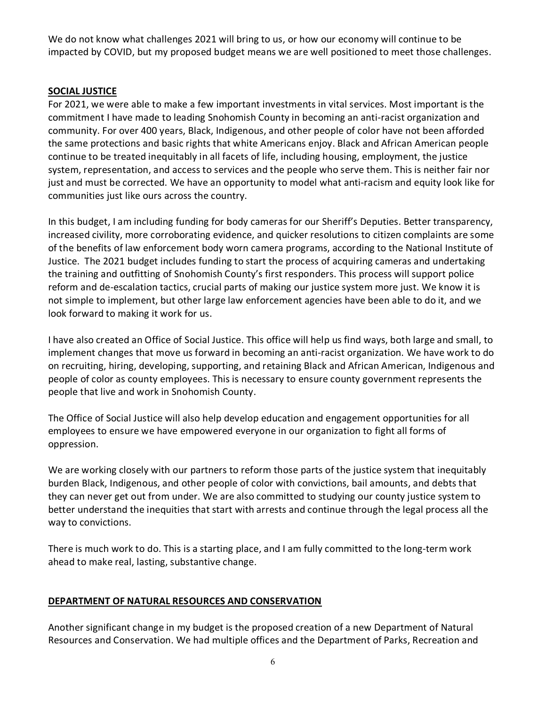We do not know what challenges 2021 will bring to us, or how our economy will continue to be impacted by COVID, but my proposed budget means we are well positioned to meet those challenges.

### **SOCIAL JUSTICE**

For 2021, we were able to make a few important investments in vital services. Most important is the commitment I have made to leading Snohomish County in becoming an anti-racist organization and community. For over 400 years, Black, Indigenous, and other people of color have not been afforded the same protections and basic rights that white Americans enjoy. Black and African American people continue to be treated inequitably in all facets of life, including housing, employment, the justice system, representation, and access to services and the people who serve them. This is neither fair nor just and must be corrected. We have an opportunity to model what anti-racism and equity look like for communities just like ours across the country.

In this budget, I am including funding for body cameras for our Sheriff's Deputies. Better transparency, increased civility, more corroborating evidence, and quicker resolutions to citizen complaints are some of the benefits of law enforcement body worn camera programs, according to the National Institute of Justice. The 2021 budget includes funding to start the process of acquiring cameras and undertaking the training and outfitting of Snohomish County's first responders. This process will support police reform and de-escalation tactics, crucial parts of making our justice system more just. We know it is not simple to implement, but other large law enforcement agencies have been able to do it, and we look forward to making it work for us.

I have also created an Office of Social Justice. This office will help us find ways, both large and small, to implement changes that move us forward in becoming an anti-racist organization. We have work to do on recruiting, hiring, developing, supporting, and retaining Black and African American, Indigenous and people of color as county employees. This is necessary to ensure county government represents the people that live and work in Snohomish County.

The Office of Social Justice will also help develop education and engagement opportunities for all employees to ensure we have empowered everyone in our organization to fight all forms of oppression.

We are working closely with our partners to reform those parts of the justice system that inequitably burden Black, Indigenous, and other people of color with convictions, bail amounts, and debts that they can never get out from under. We are also committed to studying our county justice system to better understand the inequities that start with arrests and continue through the legal process all the way to convictions.

There is much work to do. This is a starting place, and I am fully committed to the long-term work ahead to make real, lasting, substantive change.

## **DEPARTMENT OF NATURAL RESOURCES AND CONSERVATION**

Another significant change in my budget is the proposed creation of a new Department of Natural Resources and Conservation. We had multiple offices and the Department of Parks, Recreation and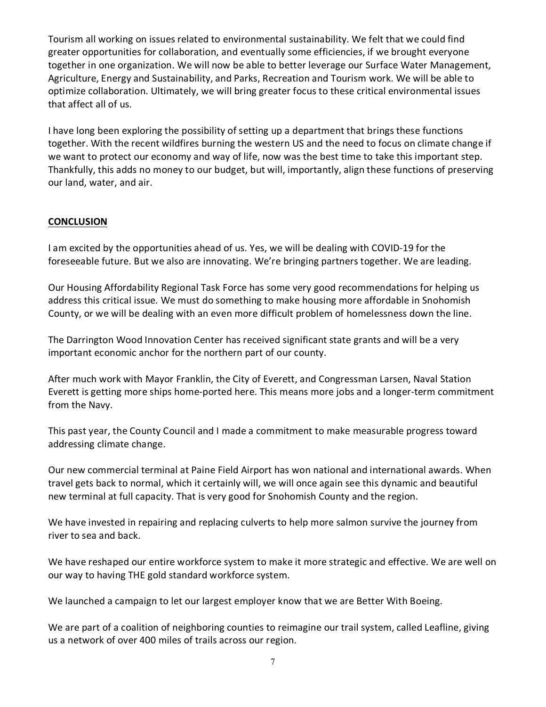Tourism all working on issues related to environmental sustainability. We felt that we could find greater opportunities for collaboration, and eventually some efficiencies, if we brought everyone together in one organization. We will now be able to better leverage our Surface Water Management, Agriculture, Energy and Sustainability, and Parks, Recreation and Tourism work. We will be able to optimize collaboration. Ultimately, we will bring greater focus to these critical environmental issues that affect all of us.

I have long been exploring the possibility of setting up a department that brings these functions together. With the recent wildfires burning the western US and the need to focus on climate change if we want to protect our economy and way of life, now was the best time to take this important step. Thankfully, this adds no money to our budget, but will, importantly, align these functions of preserving our land, water, and air.

## **CONCLUSION**

I am excited by the opportunities ahead of us. Yes, we will be dealing with COVID-19 for the foreseeable future. But we also are innovating. We're bringing partners together. We are leading.

Our Housing Affordability Regional Task Force has some very good recommendations for helping us address this critical issue. We must do something to make housing more affordable in Snohomish County, or we will be dealing with an even more difficult problem of homelessness down the line.

The Darrington Wood Innovation Center has received significant state grants and will be a very important economic anchor for the northern part of our county.

After much work with Mayor Franklin, the City of Everett, and Congressman Larsen, Naval Station Everett is getting more ships home-ported here. This means more jobs and a longer-term commitment from the Navy.

This past year, the County Council and I made a commitment to make measurable progress toward addressing climate change.

Our new commercial terminal at Paine Field Airport has won national and international awards. When travel gets back to normal, which it certainly will, we will once again see this dynamic and beautiful new terminal at full capacity. That is very good for Snohomish County and the region.

We have invested in repairing and replacing culverts to help more salmon survive the journey from river to sea and back.

We have reshaped our entire workforce system to make it more strategic and effective. We are well on our way to having THE gold standard workforce system.

We launched a campaign to let our largest employer know that we are Better With Boeing.

We are part of a coalition of neighboring counties to reimagine our trail system, called Leafline, giving us a network of over 400 miles of trails across our region.